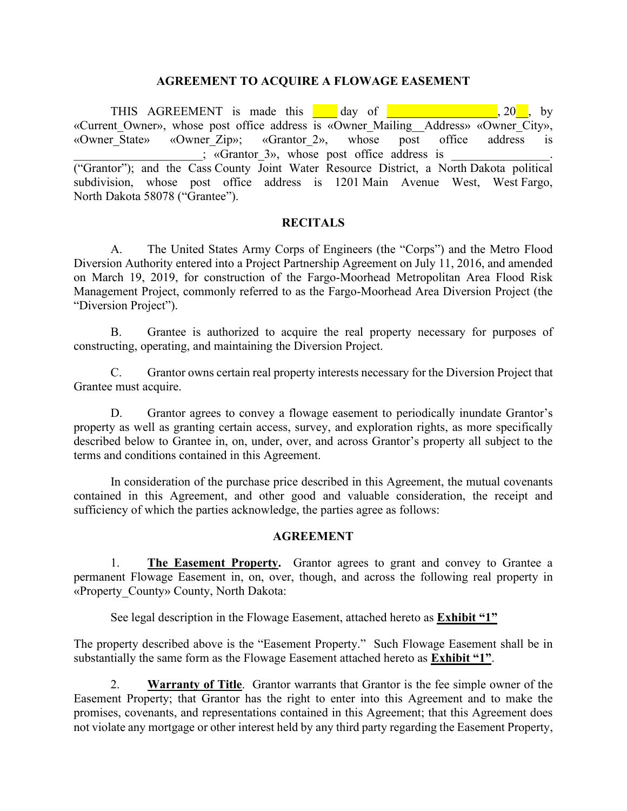#### **AGREEMENT TO ACQUIRE A FLOWAGE EASEMENT**

THIS AGREEMENT is made this day of the state of the state of the state of the state of the state of the state of the state of the state of the state of the state of the state of the state of the state of the state of the s «Current\_Owner», whose post office address is «Owner\_Mailing\_\_Address» «Owner\_City», «Owner\_State» «Owner\_Zip»; «Grantor\_2», whose post office address is ; «Grantor 3», whose post office address is ("Grantor"); and the Cass County Joint Water Resource District, a North Dakota political subdivision, whose post office address is 1201 Main Avenue West, West Fargo, North Dakota 58078 ("Grantee").

#### **RECITALS**

A. The United States Army Corps of Engineers (the "Corps") and the Metro Flood Diversion Authority entered into a Project Partnership Agreement on July 11, 2016, and amended on March 19, 2019, for construction of the Fargo-Moorhead Metropolitan Area Flood Risk Management Project, commonly referred to as the Fargo-Moorhead Area Diversion Project (the "Diversion Project").

B. Grantee is authorized to acquire the real property necessary for purposes of constructing, operating, and maintaining the Diversion Project.

C. Grantor owns certain real property interests necessary for the Diversion Project that Grantee must acquire.

D. Grantor agrees to convey a flowage easement to periodically inundate Grantor's property as well as granting certain access, survey, and exploration rights, as more specifically described below to Grantee in, on, under, over, and across Grantor's property all subject to the terms and conditions contained in this Agreement.

In consideration of the purchase price described in this Agreement, the mutual covenants contained in this Agreement, and other good and valuable consideration, the receipt and sufficiency of which the parties acknowledge, the parties agree as follows:

#### **AGREEMENT**

1. **The Easement Property.** Grantor agrees to grant and convey to Grantee a permanent Flowage Easement in, on, over, though, and across the following real property in «Property\_County» County, North Dakota:

See legal description in the Flowage Easement, attached hereto as **Exhibit "1"**

The property described above is the "Easement Property." Such Flowage Easement shall be in substantially the same form as the Flowage Easement attached hereto as **Exhibit "1"**.

2. **Warranty of Title**. Grantor warrants that Grantor is the fee simple owner of the Easement Property; that Grantor has the right to enter into this Agreement and to make the promises, covenants, and representations contained in this Agreement; that this Agreement does not violate any mortgage or other interest held by any third party regarding the Easement Property,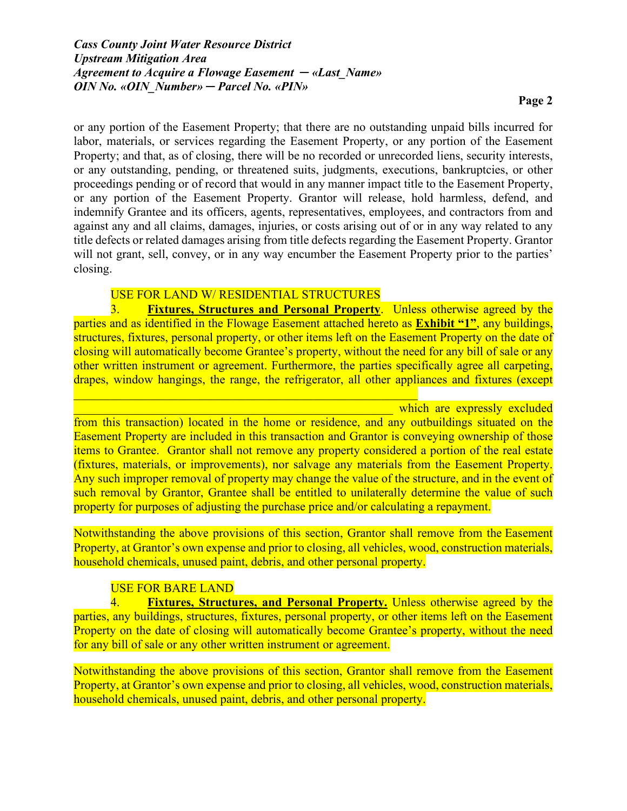or any portion of the Easement Property; that there are no outstanding unpaid bills incurred for labor, materials, or services regarding the Easement Property, or any portion of the Easement Property; and that, as of closing, there will be no recorded or unrecorded liens, security interests, or any outstanding, pending, or threatened suits, judgments, executions, bankruptcies, or other proceedings pending or of record that would in any manner impact title to the Easement Property, or any portion of the Easement Property. Grantor will release, hold harmless, defend, and indemnify Grantee and its officers, agents, representatives, employees, and contractors from and against any and all claims, damages, injuries, or costs arising out of or in any way related to any title defects or related damages arising from title defects regarding the Easement Property. Grantor will not grant, sell, convey, or in any way encumber the Easement Property prior to the parties' closing.

## USE FOR LAND W/ RESIDENTIAL STRUCTURES

3. **Fixtures, Structures and Personal Property**. Unless otherwise agreed by the parties and as identified in the Flowage Easement attached hereto as **Exhibit "1"**, any buildings, structures, fixtures, personal property, or other items left on the Easement Property on the date of closing will automatically become Grantee's property, without the need for any bill of sale or any other written instrument or agreement. Furthermore, the parties specifically agree all carpeting, drapes, window hangings, the range, the refrigerator, all other appliances and fixtures (except

which are expressly excluded from this transaction) located in the home or residence, and any outbuildings situated on the Easement Property are included in this transaction and Grantor is conveying ownership of those items to Grantee. Grantor shall not remove any property considered a portion of the real estate (fixtures, materials, or improvements), nor salvage any materials from the Easement Property. Any such improper removal of property may change the value of the structure, and in the event of such removal by Grantor, Grantee shall be entitled to unilaterally determine the value of such property for purposes of adjusting the purchase price and/or calculating a repayment.

Notwithstanding the above provisions of this section, Grantor shall remove from the Easement Property, at Grantor's own expense and prior to closing, all vehicles, wood, construction materials, household chemicals, unused paint, debris, and other personal property.

## USE FOR BARE LAND

4. **Fixtures, Structures, and Personal Property.** Unless otherwise agreed by the parties, any buildings, structures, fixtures, personal property, or other items left on the Easement Property on the date of closing will automatically become Grantee's property, without the need for any bill of sale or any other written instrument or agreement.

Notwithstanding the above provisions of this section, Grantor shall remove from the Easement Property, at Grantor's own expense and prior to closing, all vehicles, wood, construction materials, household chemicals, unused paint, debris, and other personal property.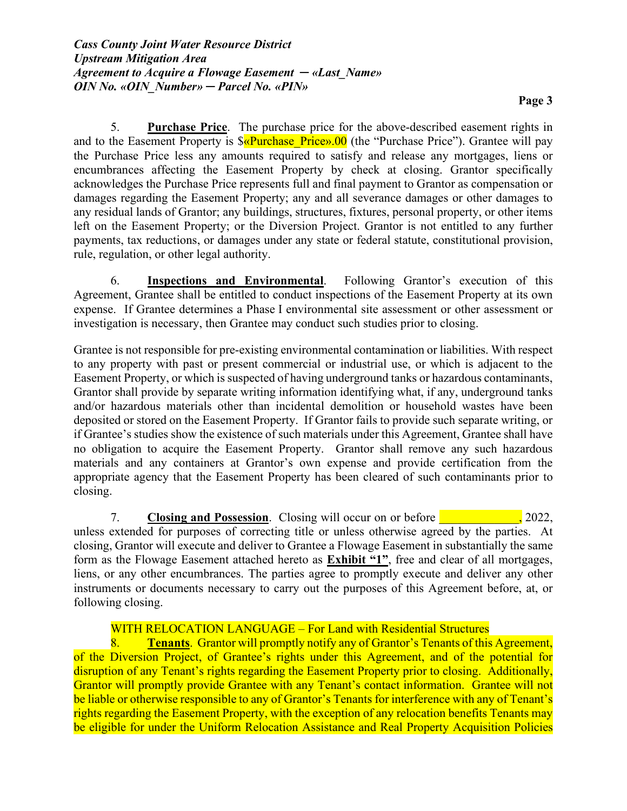5. **Purchase Price**. The purchase price for the above-described easement rights in and to the Easement Property is  $\sqrt{$\alpha$}$ urchase Price».00 (the "Purchase Price"). Grantee will pay the Purchase Price less any amounts required to satisfy and release any mortgages, liens or encumbrances affecting the Easement Property by check at closing. Grantor specifically acknowledges the Purchase Price represents full and final payment to Grantor as compensation or damages regarding the Easement Property; any and all severance damages or other damages to any residual lands of Grantor; any buildings, structures, fixtures, personal property, or other items left on the Easement Property; or the Diversion Project. Grantor is not entitled to any further payments, tax reductions, or damages under any state or federal statute, constitutional provision, rule, regulation, or other legal authority.

6. **Inspections and Environmental**. Following Grantor's execution of this Agreement, Grantee shall be entitled to conduct inspections of the Easement Property at its own expense. If Grantee determines a Phase I environmental site assessment or other assessment or investigation is necessary, then Grantee may conduct such studies prior to closing.

Grantee is not responsible for pre-existing environmental contamination or liabilities. With respect to any property with past or present commercial or industrial use, or which is adjacent to the Easement Property, or which is suspected of having underground tanks or hazardous contaminants, Grantor shall provide by separate writing information identifying what, if any, underground tanks and/or hazardous materials other than incidental demolition or household wastes have been deposited or stored on the Easement Property. If Grantor fails to provide such separate writing, or if Grantee's studies show the existence of such materials under this Agreement, Grantee shall have no obligation to acquire the Easement Property. Grantor shall remove any such hazardous materials and any containers at Grantor's own expense and provide certification from the appropriate agency that the Easement Property has been cleared of such contaminants prior to closing.

7. **Closing and Possession**. Closing will occur on or before **the contract of the contract of the contract of the contract of the contract of the contract of the contract of the contract of the contract of the contract of** unless extended for purposes of correcting title or unless otherwise agreed by the parties. At closing, Grantor will execute and deliver to Grantee a Flowage Easement in substantially the same form as the Flowage Easement attached hereto as **Exhibit "1"**, free and clear of all mortgages, liens, or any other encumbrances. The parties agree to promptly execute and deliver any other instruments or documents necessary to carry out the purposes of this Agreement before, at, or following closing.

## WITH RELOCATION LANGUAGE – For Land with Residential Structures

8. **Tenants**. Grantor will promptly notify any of Grantor's Tenants of this Agreement, of the Diversion Project, of Grantee's rights under this Agreement, and of the potential for disruption of any Tenant's rights regarding the Easement Property prior to closing. Additionally, Grantor will promptly provide Grantee with any Tenant's contact information. Grantee will not be liable or otherwise responsible to any of Grantor's Tenants for interference with any of Tenant's rights regarding the Easement Property, with the exception of any relocation benefits Tenants may be eligible for under the Uniform Relocation Assistance and Real Property Acquisition Policies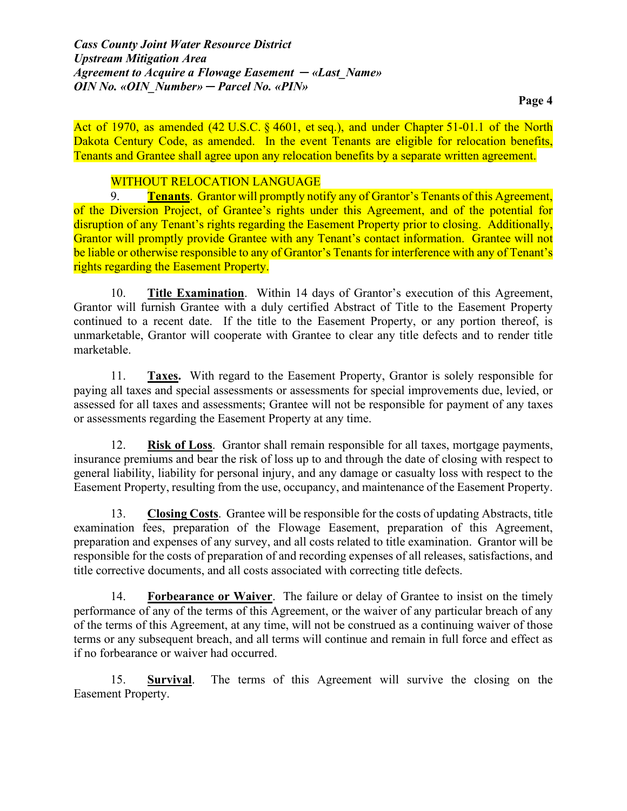Act of 1970, as amended (42 U.S.C. § 4601, et seq.), and under Chapter 51-01.1 of the North Dakota Century Code, as amended. In the event Tenants are eligible for relocation benefits, Tenants and Grantee shall agree upon any relocation benefits by a separate written agreement.

### WITHOUT RELOCATION LANGUAGE

9. **Tenants**. Grantor will promptly notify any of Grantor's Tenants of this Agreement, of the Diversion Project, of Grantee's rights under this Agreement, and of the potential for disruption of any Tenant's rights regarding the Easement Property prior to closing. Additionally, Grantor will promptly provide Grantee with any Tenant's contact information. Grantee will not be liable or otherwise responsible to any of Grantor's Tenants for interference with any of Tenant's rights regarding the Easement Property.

10. **Title Examination**. Within 14 days of Grantor's execution of this Agreement, Grantor will furnish Grantee with a duly certified Abstract of Title to the Easement Property continued to a recent date. If the title to the Easement Property, or any portion thereof, is unmarketable, Grantor will cooperate with Grantee to clear any title defects and to render title marketable.

11. **Taxes.** With regard to the Easement Property, Grantor is solely responsible for paying all taxes and special assessments or assessments for special improvements due, levied, or assessed for all taxes and assessments; Grantee will not be responsible for payment of any taxes or assessments regarding the Easement Property at any time.

12. **Risk of Loss**. Grantor shall remain responsible for all taxes, mortgage payments, insurance premiums and bear the risk of loss up to and through the date of closing with respect to general liability, liability for personal injury, and any damage or casualty loss with respect to the Easement Property, resulting from the use, occupancy, and maintenance of the Easement Property.

13. **Closing Costs**. Grantee will be responsible for the costs of updating Abstracts, title examination fees, preparation of the Flowage Easement, preparation of this Agreement, preparation and expenses of any survey, and all costs related to title examination. Grantor will be responsible for the costs of preparation of and recording expenses of all releases, satisfactions, and title corrective documents, and all costs associated with correcting title defects.

14. **Forbearance or Waiver**. The failure or delay of Grantee to insist on the timely performance of any of the terms of this Agreement, or the waiver of any particular breach of any of the terms of this Agreement, at any time, will not be construed as a continuing waiver of those terms or any subsequent breach, and all terms will continue and remain in full force and effect as if no forbearance or waiver had occurred.

15. **Survival**. The terms of this Agreement will survive the closing on the Easement Property.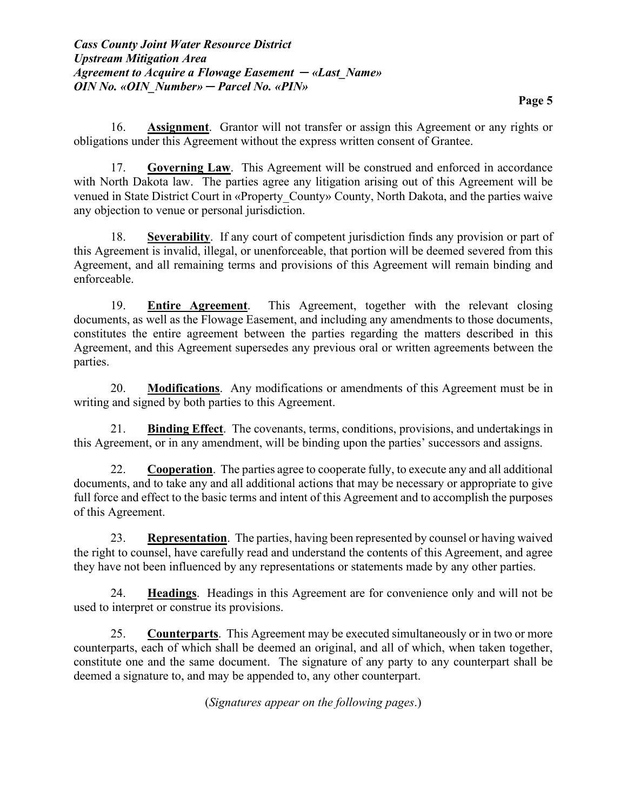16. **Assignment**. Grantor will not transfer or assign this Agreement or any rights or obligations under this Agreement without the express written consent of Grantee.

17. **Governing Law**. This Agreement will be construed and enforced in accordance with North Dakota law. The parties agree any litigation arising out of this Agreement will be venued in State District Court in «Property\_County» County, North Dakota, and the parties waive any objection to venue or personal jurisdiction.

18. **Severability**. If any court of competent jurisdiction finds any provision or part of this Agreement is invalid, illegal, or unenforceable, that portion will be deemed severed from this Agreement, and all remaining terms and provisions of this Agreement will remain binding and enforceable.

19. **Entire Agreement**. This Agreement, together with the relevant closing documents, as well as the Flowage Easement, and including any amendments to those documents, constitutes the entire agreement between the parties regarding the matters described in this Agreement, and this Agreement supersedes any previous oral or written agreements between the parties.

20. **Modifications**. Any modifications or amendments of this Agreement must be in writing and signed by both parties to this Agreement.

21. **Binding Effect**. The covenants, terms, conditions, provisions, and undertakings in this Agreement, or in any amendment, will be binding upon the parties' successors and assigns.

22. **Cooperation**. The parties agree to cooperate fully, to execute any and all additional documents, and to take any and all additional actions that may be necessary or appropriate to give full force and effect to the basic terms and intent of this Agreement and to accomplish the purposes of this Agreement.

23. **Representation**. The parties, having been represented by counsel or having waived the right to counsel, have carefully read and understand the contents of this Agreement, and agree they have not been influenced by any representations or statements made by any other parties.

24. **Headings**. Headings in this Agreement are for convenience only and will not be used to interpret or construe its provisions.

25. **Counterparts**. This Agreement may be executed simultaneously or in two or more counterparts, each of which shall be deemed an original, and all of which, when taken together, constitute one and the same document. The signature of any party to any counterpart shall be deemed a signature to, and may be appended to, any other counterpart.

(*Signatures appear on the following pages*.)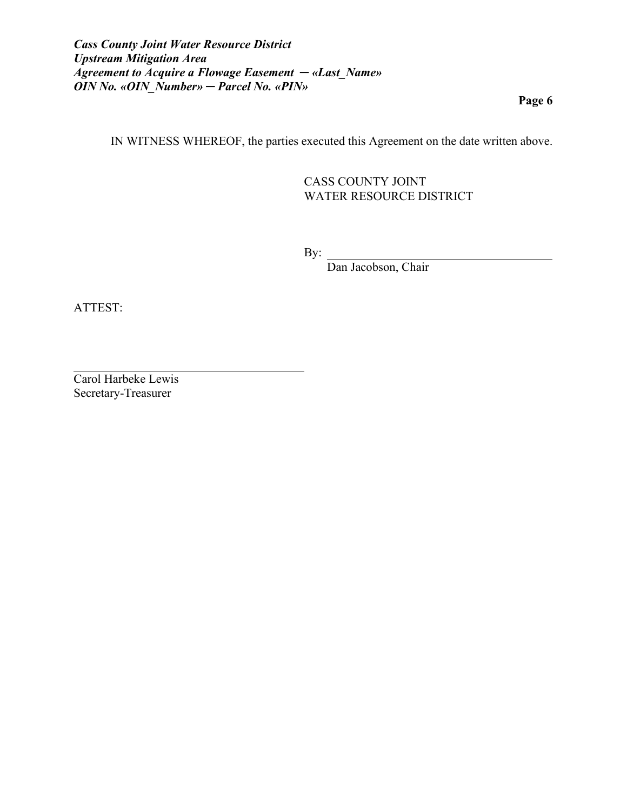**Page 6**

IN WITNESS WHEREOF, the parties executed this Agreement on the date written above.

CASS COUNTY JOINT WATER RESOURCE DISTRICT

By:

Dan Jacobson, Chair

ATTEST:

Carol Harbeke Lewis Secretary-Treasurer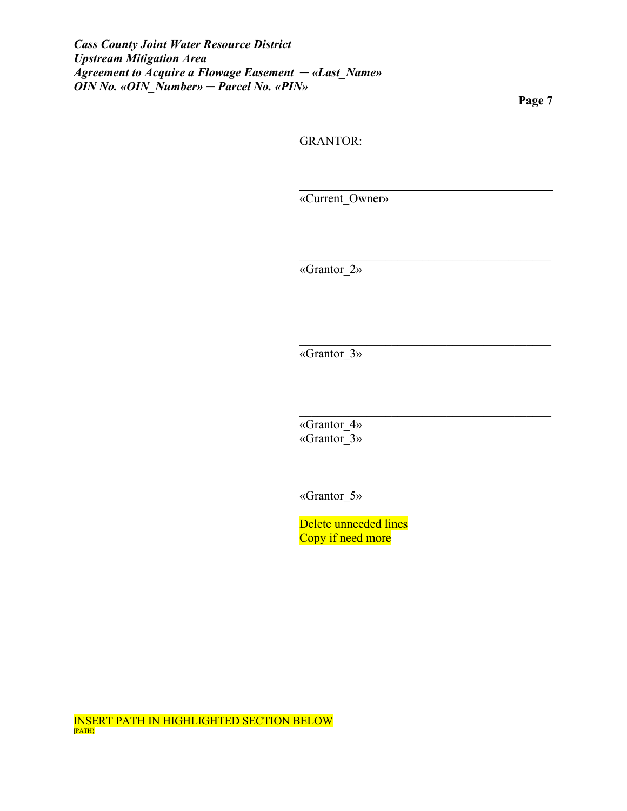**Page 7**

GRANTOR:

«Current\_Owner»

 $\mathcal{L}_\mathcal{L}$  , and the set of the set of the set of the set of the set of the set of the set of the set of the set of the set of the set of the set of the set of the set of the set of the set of the set of the set of th

«Grantor\_2»

«Grantor\_3»

«Grantor 4» «Grantor\_3»

«Grantor\_5»

Delete unneeded lines Copy if need more

INSERT PATH IN HIGHLIGHTED SECTION BELOW<br>[PATH]